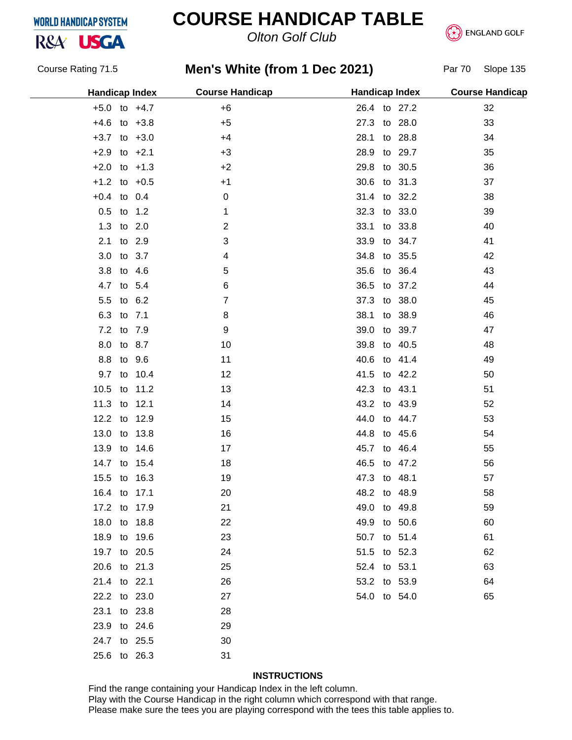## R&A<sup>'</sup> USGA

### **COURSE HANDICAP TABLE**

*Olton Golf Club*



Course Rating 71.5

### **Men's White (from 1 Dec 2021)** Par 70 Slope 135

| <b>Handicap Index</b> |             | <b>Course Handicap</b> | <b>Handicap Index</b> |         | <b>Course Handicap</b> |
|-----------------------|-------------|------------------------|-----------------------|---------|------------------------|
| $+5.0$ to $+4.7$      |             | $+6$                   | 26.4 to 27.2          |         | 32                     |
| $+4.6$ to $+3.8$      |             | $+5$                   | 27.3 to 28.0          |         | 33                     |
| $+3.7$ to $+3.0$      |             | $+4$                   | 28.1                  | to 28.8 | 34                     |
| $+2.9$ to $+2.1$      |             | $+3$                   | 28.9                  | to 29.7 | 35                     |
| $+2.0$ to $+1.3$      |             | $+2$                   | 29.8 to 30.5          |         | 36                     |
| $+1.2$ to $+0.5$      |             | $+1$                   | 30.6 to 31.3          |         | 37                     |
| $+0.4$ to 0.4         |             | $\mathbf 0$            | 31.4 to 32.2          |         | 38                     |
| 0.5 to 1.2            |             | 1                      | 32.3 to 33.0          |         | 39                     |
| 1.3 to 2.0            |             | $\overline{2}$         | 33.1                  | to 33.8 | 40                     |
| 2.1 to 2.9            |             | 3                      | 33.9                  | to 34.7 | 41                     |
| 3.0 to 3.7            |             | 4                      | 34.8 to 35.5          |         | 42                     |
| 3.8 to 4.6            |             | 5                      | 35.6 to 36.4          |         | 43                     |
| 4.7 to 5.4            |             | 6                      | 36.5                  | to 37.2 | 44                     |
| 5.5 to 6.2            |             | $\overline{7}$         | 37.3 to 38.0          |         | 45                     |
| 6.3 to 7.1            |             | 8                      | 38.1 to 38.9          |         | 46                     |
| 7.2 to 7.9            |             | 9                      | 39.0                  | to 39.7 | 47                     |
| 8.0 to 8.7            |             | 10                     | 39.8 to 40.5          |         | 48                     |
| 8.8 to 9.6            |             | 11                     | 40.6 to 41.4          |         | 49                     |
|                       | 9.7 to 10.4 | 12                     | 41.5 to 42.2          |         | 50                     |
| 10.5 to 11.2          |             | 13                     | 42.3 to 43.1          |         | 51                     |
| 11.3 to 12.1          |             | 14                     | 43.2 to 43.9          |         | 52                     |
| 12.2 to 12.9          |             | 15                     | 44.0 to 44.7          |         | 53                     |
| 13.0 to 13.8          |             | 16                     | 44.8 to 45.6          |         | 54                     |
| 13.9 to 14.6          |             | 17                     | 45.7 to 46.4          |         | 55                     |
| 14.7 to 15.4          |             | 18                     | 46.5                  | to 47.2 | 56                     |
| 15.5 to 16.3          |             | 19                     | 47.3 to 48.1          |         | 57                     |
| 16.4 to 17.1          |             | 20                     | 48.2 to 48.9          |         | 58                     |
| 17.2 to 17.9          |             | 21                     | 49.0 to 49.8          |         | 59                     |
| 18.0 to 18.8          |             | 22                     | 49.9 to 50.6          |         | 60                     |
| 18.9 to 19.6          |             | 23                     | 50.7 to 51.4          |         | 61                     |
| 19.7 to 20.5          |             | 24                     | 51.5 to 52.3          |         | 62                     |
| 20.6 to 21.3          |             | 25                     | 52.4 to 53.1          |         | 63                     |
| 21.4 to 22.1          |             | 26                     | 53.2 to 53.9          |         | 64                     |
| 22.2 to 23.0          |             | 27                     | 54.0 to 54.0          |         | 65                     |
| 23.1 to 23.8          |             | 28                     |                       |         |                        |
| 23.9 to 24.6          |             | 29                     |                       |         |                        |
| 24.7 to 25.5          |             | 30                     |                       |         |                        |
| 25.6 to 26.3          |             | 31                     |                       |         |                        |

#### **INSTRUCTIONS**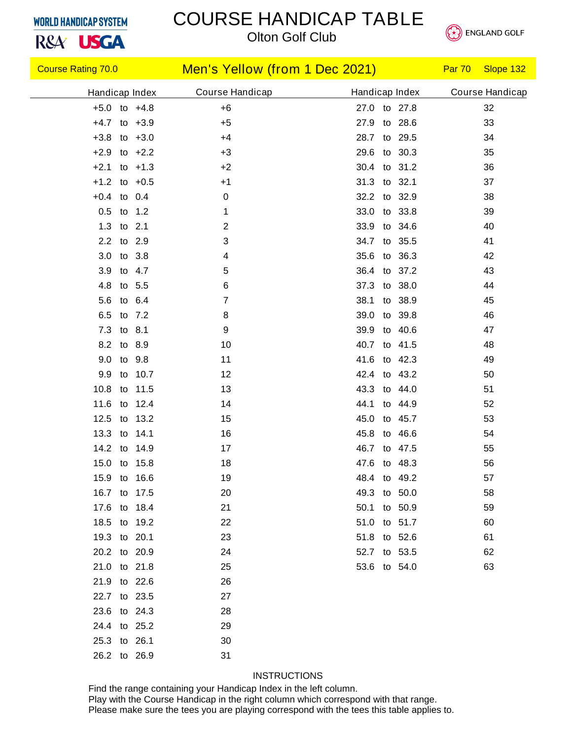R&A<sup>'</sup> USGA

# COURSE HANDICAP TABLE



*Olton Golf Club*

| <b>Course Rating 70.0</b> | Men's Yellow (from 1 Dec 2021) |                 | Par 70<br>Slope 132 |
|---------------------------|--------------------------------|-----------------|---------------------|
| Handicap Index            | Course Handicap                | Handicap Index  | Course Handicap     |
| $+5.0$ to $+4.8$          | $+6$                           | 27.0 to 27.8    | 32                  |
| $+4.7$ to $+3.9$          | $+5$                           | 27.9 to 28.6    | 33                  |
| $+3.8$ to $+3.0$          | $+4$                           | 28.7 to 29.5    | 34                  |
| $+2.9$ to $+2.2$          | $+3$                           | 29.6 to 30.3    | 35                  |
| $+2.1$ to $+1.3$          | $+2$                           | 30.4 to 31.2    | 36                  |
| $+1.2$ to $+0.5$          | $+1$                           | 31.3 to 32.1    | 37                  |
| $+0.4$ to 0.4             | $\mathbf 0$                    | 32.2 to 32.9    | 38                  |
| 0.5 to 1.2                | 1                              | 33.0 to 33.8    | 39                  |
| 1.3<br>to 2.1             | $\overline{c}$                 | 33.9 to 34.6    | 40                  |
| 2.2 to 2.9                | 3                              | 34.7 to 35.5    | 41                  |
| 3.0 to 3.8                | 4                              | 35.6 to 36.3    | 42                  |
| 3.9<br>to 4.7             | 5                              | 36.4 to 37.2    | 43                  |
| 4.8<br>to 5.5             | 6                              | 37.3 to 38.0    | 44                  |
| 5.6 to 6.4                | 7                              | 38.1 to 38.9    | 45                  |
| 6.5<br>to 7.2             | 8                              | 39.0<br>to 39.8 | 46                  |
| 7.3 to 8.1                | 9                              | 39.9 to 40.6    | 47                  |
| 8.2 to 8.9                | 10                             | 40.7 to 41.5    | 48                  |
| 9.0<br>to 9.8             | 11                             | 41.6 to 42.3    | 49                  |
| to 10.7<br>9.9            | 12                             | 42.4 to 43.2    | 50                  |
| 10.8 to 11.5              | 13                             | 43.3 to 44.0    | 51                  |
| 11.6 to 12.4              | 14                             | 44.1 to 44.9    | 52                  |
| 12.5 to 13.2              | 15                             | 45.0<br>to 45.7 | 53                  |
| 13.3 to 14.1              | 16                             | 45.8 to 46.6    | 54                  |
| 14.2 to 14.9              | 17                             | 46.7 to 47.5    | 55                  |
| 15.0 to 15.8              | 18                             | 47.6 to 48.3    | 56                  |
| 15.9 to 16.6              | 19                             | 48.4 to 49.2    | 57                  |
| 16.7 to 17.5              | 20                             | 49.3 to 50.0    | 58                  |
| 17.6 to 18.4              | 21                             | 50.1 to 50.9    | 59                  |
| 18.5 to 19.2              | 22                             | 51.0 to 51.7    | 60                  |
| 19.3 to 20.1              | 23                             | 51.8 to 52.6    | 61                  |
| 20.2 to 20.9              | 24                             | 52.7 to 53.5    | 62                  |
| 21.0 to 21.8              | 25                             | 53.6 to 54.0    | 63                  |
| 21.9 to 22.6              | 26                             |                 |                     |
| 22.7 to 23.5              | 27                             |                 |                     |
| 23.6 to 24.3              | 28                             |                 |                     |
| 24.4 to 25.2              | 29                             |                 |                     |
| 25.3 to 26.1              | 30                             |                 |                     |
| 26.2 to 26.9              | 31                             |                 |                     |

#### **INSTRUCTIONS**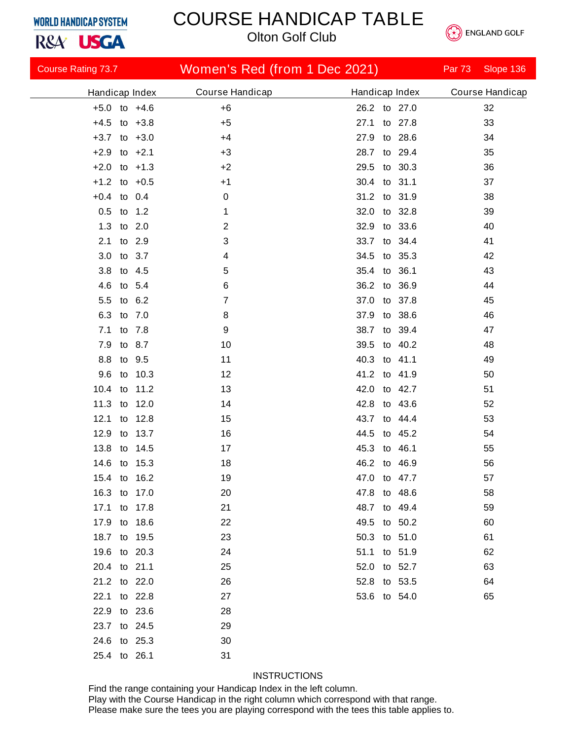R&A<sup>'</sup> USGA

### COURSE HANDICAP TABLE

*Olton Golf Club*



| <b>Course Rating 73.7</b> |                       | Women's Red (from 1 Dec 2021) |                | <b>Par 73</b> | Slope 136       |
|---------------------------|-----------------------|-------------------------------|----------------|---------------|-----------------|
| Handicap Index            | Course Handicap       |                               | Handicap Index |               | Course Handicap |
| $+5.0$ to $+4.6$          | $+6$                  |                               | 26.2 to 27.0   |               | 32              |
| $+4.5$<br>to $+3.8$       | $+5$                  | 27.1                          | to 27.8        |               | 33              |
| $+3.7$ to $+3.0$          | $+4$                  | 27.9                          | to 28.6        |               | 34              |
| to $+2.1$<br>$+2.9$       | $+3$                  | 28.7                          | to 29.4        |               | 35              |
| $+2.0$<br>to $+1.3$       | $+2$                  | 29.5                          | to 30.3        |               | 36              |
| $+1.2$ to $+0.5$          | $+1$                  | 30.4                          | to 31.1        |               | 37              |
| $+0.4$ to 0.4             | 0                     |                               | 31.2 to 31.9   |               | 38              |
| 0.5<br>to                 | 1.2<br>1              | 32.0                          | to 32.8        |               | 39              |
| 1.3 to 2.0                | $\overline{2}$        | 32.9                          | to 33.6        |               | 40              |
| 2.1<br>to 2.9             | 3                     | 33.7                          | to 34.4        |               | 41              |
| 3.0<br>to                 | 3.7<br>4              | 34.5                          | to 35.3        |               | 42              |
| 3.8<br>to 4.5             | 5                     | 35.4                          | to 36.1        |               | 43              |
| 4.6<br>to 5.4             | 6                     | 36.2                          | to 36.9        |               | 44              |
| 5.5<br>to                 | 6.2<br>$\overline{7}$ | 37.0                          | to 37.8        |               | 45              |
| 6.3<br>to                 | 7.0<br>8              | 37.9                          | to 38.6        |               | 46              |
| 7.1<br>to 7.8             | 9                     | 38.7                          | to 39.4        |               | 47              |
| 7.9<br>to                 | 10<br>8.7             | 39.5                          | to 40.2        |               | 48              |
| 8.8<br>to                 | 9.5<br>11             | 40.3                          | to 41.1        |               | 49              |
| 9.6<br>to                 | 10.3<br>12            | 41.2                          | to 41.9        |               | 50              |
| 10.4<br>to                | 11.2<br>13            | 42.0                          | to 42.7        |               | 51              |
| 11.3<br>to                | 12.0<br>14            | 42.8                          | to 43.6        |               | 52              |
| 12.1<br>to                | 12.8<br>15            | 43.7                          | to 44.4        |               | 53              |
| 12.9<br>to                | 13.7<br>16            | 44.5                          | to 45.2        |               | 54              |
| 13.8<br>to                | 14.5<br>17            | 45.3                          | to 46.1        |               | 55              |
| 14.6 to                   | 15.3<br>18            |                               | 46.2 to 46.9   |               | 56              |
| 15.4 to 16.2              | 19                    |                               | 47.0 to 47.7   |               | 57              |
| 16.3 to 17.0              | 20                    |                               | 47.8 to 48.6   |               | 58              |
| 17.1 to 17.8              | 21                    |                               | 48.7 to 49.4   |               | 59              |
| 17.9 to 18.6              | 22                    |                               | 49.5 to 50.2   |               | 60              |
| 18.7 to 19.5              | 23                    |                               | 50.3 to 51.0   |               | 61              |
| 19.6 to 20.3              | 24                    |                               | 51.1 to 51.9   |               | 62              |
| 20.4 to 21.1              | 25                    |                               | 52.0 to 52.7   |               | 63              |
| 21.2 to 22.0              | 26                    |                               | 52.8 to 53.5   |               | 64              |
| 22.1 to 22.8              | 27                    |                               | 53.6 to 54.0   |               | 65              |
| 22.9 to 23.6              | 28                    |                               |                |               |                 |
| 23.7 to 24.5              | 29                    |                               |                |               |                 |
| 24.6 to 25.3              | 30                    |                               |                |               |                 |
| 25.4 to 26.1              | 31                    |                               |                |               |                 |

#### **INSTRUCTIONS**